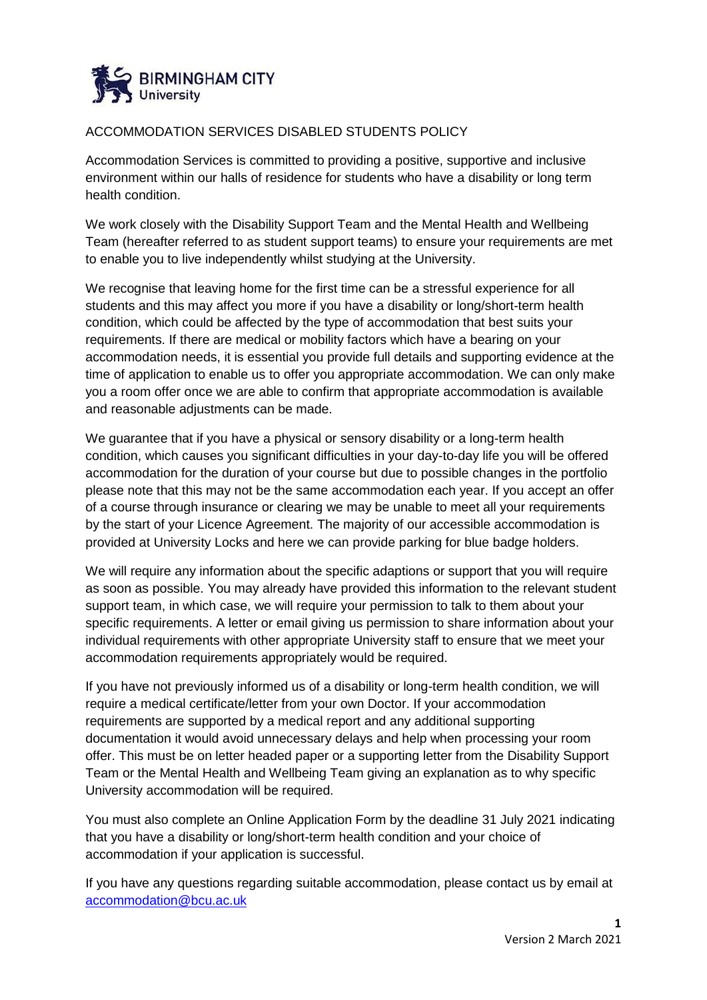

## ACCOMMODATION SERVICES DISABLED STUDENTS POLICY

Accommodation Services is committed to providing a positive, supportive and inclusive environment within our halls of residence for students who have a disability or long term health condition.

We work closely with the Disability Support Team and the Mental Health and Wellbeing Team (hereafter referred to as student support teams) to ensure your requirements are met to enable you to live independently whilst studying at the University.

We recognise that leaving home for the first time can be a stressful experience for all students and this may affect you more if you have a disability or long/short-term health condition, which could be affected by the type of accommodation that best suits your requirements. If there are medical or mobility factors which have a bearing on your accommodation needs, it is essential you provide full details and supporting evidence at the time of application to enable us to offer you appropriate accommodation. We can only make you a room offer once we are able to confirm that appropriate accommodation is available and reasonable adjustments can be made.

We guarantee that if you have a physical or sensory disability or a long-term health condition, which causes you significant difficulties in your day-to-day life you will be offered accommodation for the duration of your course but due to possible changes in the portfolio please note that this may not be the same accommodation each year. If you accept an offer of a course through insurance or clearing we may be unable to meet all your requirements by the start of your Licence Agreement. The majority of our accessible accommodation is provided at University Locks and here we can provide parking for blue badge holders.

We will require any information about the specific adaptions or support that you will require as soon as possible. You may already have provided this information to the relevant student support team, in which case, we will require your permission to talk to them about your specific requirements. A letter or email giving us permission to share information about your individual requirements with other appropriate University staff to ensure that we meet your accommodation requirements appropriately would be required.

If you have not previously informed us of a disability or long-term health condition, we will require a medical certificate/letter from your own Doctor. If your accommodation requirements are supported by a medical report and any additional supporting documentation it would avoid unnecessary delays and help when processing your room offer. This must be on letter headed paper or a supporting letter from the Disability Support Team or the Mental Health and Wellbeing Team giving an explanation as to why specific University accommodation will be required.

You must also complete an Online Application Form by the deadline 31 July 2021 indicating that you have a disability or long/short-term health condition and your choice of accommodation if your application is successful.

If you have any questions regarding suitable accommodation, please contact us by email at [accommodation@bcu.ac.uk](mailto:accommodation@bcu.ac.uk)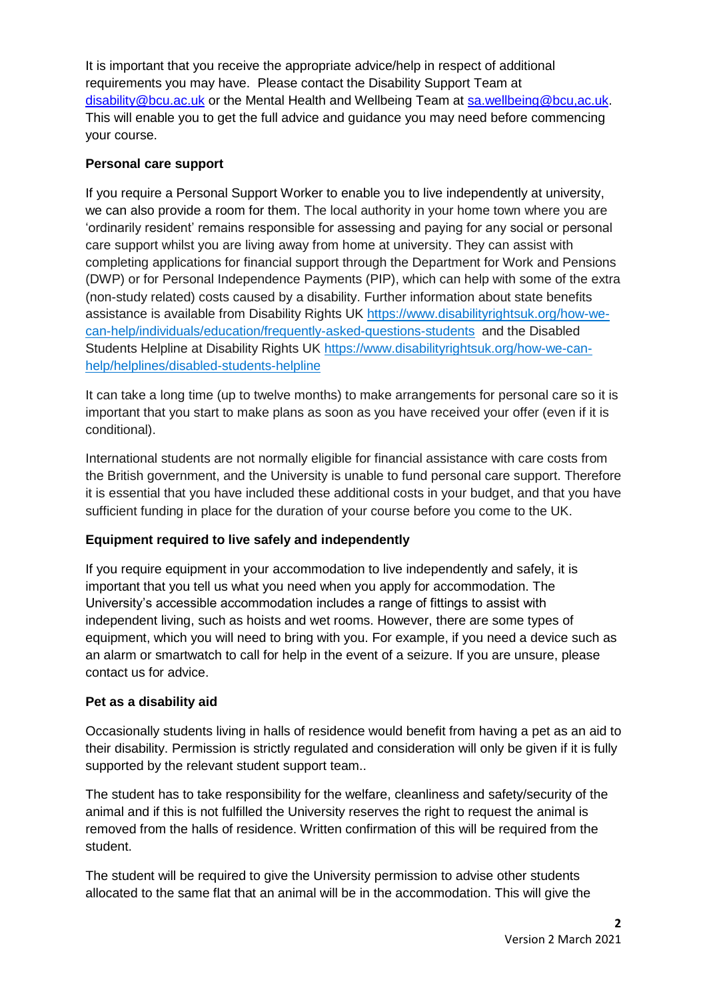It is important that you receive the appropriate advice/help in respect of additional requirements you may have. Please contact the Disability Support Team at [disability@bcu.ac.uk](mailto:disability@bcu.ac.uk) or the Mental Health and Wellbeing Team at [sa.wellbeing@bcu,ac.uk.](mailto:sa.wellbeing@bcu,ac.uk) This will enable you to get the full advice and guidance you may need before commencing your course.

## **Personal care support**

If you require a Personal Support Worker to enable you to live independently at university, we can also provide a room for them. The local authority in your home town where you are 'ordinarily resident' remains responsible for assessing and paying for any social or personal care support whilst you are living away from home at university. They can assist with completing applications for financial support through the Department for Work and Pensions (DWP) or for Personal Independence Payments (PIP), which can help with some of the extra (non-study related) costs caused by a disability. Further information about state benefits assistance is available from Disability Rights UK [https://www.disabilityrightsuk.org/how-we](https://www.disabilityrightsuk.org/how-we-can-help/individuals/education/frequently-asked-questions-students)[can-help/individuals/education/frequently-asked-questions-students](https://www.disabilityrightsuk.org/how-we-can-help/individuals/education/frequently-asked-questions-students) and the Disabled Students Helpline at Disability Rights UK [https://www.disabilityrightsuk.org/how-we-can](https://www.disabilityrightsuk.org/how-we-can-help/helplines/disabled-students-helpline)[help/helplines/disabled-students-helpline](https://www.disabilityrightsuk.org/how-we-can-help/helplines/disabled-students-helpline)

It can take a long time (up to twelve months) to make arrangements for personal care so it is important that you start to make plans as soon as you have received your offer (even if it is conditional).

International students are not normally eligible for financial assistance with care costs from the British government, and the University is unable to fund personal care support. Therefore it is essential that you have included these additional costs in your budget, and that you have sufficient funding in place for the duration of your course before you come to the UK.

# **Equipment required to live safely and independently**

If you require equipment in your accommodation to live independently and safely, it is important that you tell us what you need when you apply for accommodation. The University's accessible accommodation includes a range of fittings to assist with independent living, such as hoists and wet rooms. However, there are some types of equipment, which you will need to bring with you. For example, if you need a device such as an alarm or smartwatch to call for help in the event of a seizure. If you are unsure, please contact us for advice.

## **Pet as a disability aid**

Occasionally students living in halls of residence would benefit from having a pet as an aid to their disability. Permission is strictly regulated and consideration will only be given if it is fully supported by the relevant student support team..

The student has to take responsibility for the welfare, cleanliness and safety/security of the animal and if this is not fulfilled the University reserves the right to request the animal is removed from the halls of residence. Written confirmation of this will be required from the student.

The student will be required to give the University permission to advise other students allocated to the same flat that an animal will be in the accommodation. This will give the